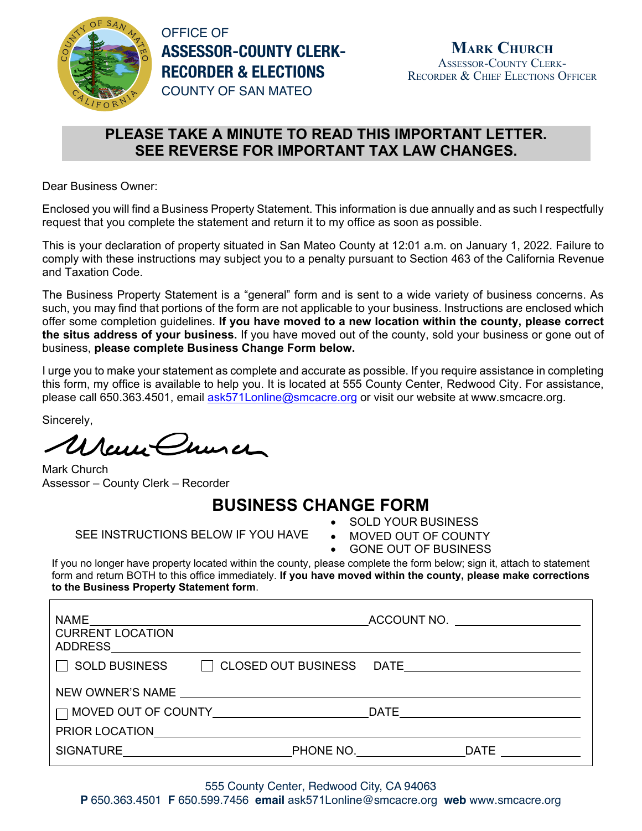

OFFICE OF **ASSESSOR-COUNTY CLERK-RECORDER & ELECTIONS** COUNTY OF SAN MATEO

## **PLEASE TAKE A MINUTE TO READ THIS IMPORTANT LETTER. SEE REVERSE FOR IMPORTANT TAX LAW CHANGES.**

Dear Business Owner:

Enclosed you will find a Business Property Statement. This information is due annually and as such I respectfully request that you complete the statement and return it to my office as soon as possible.

This is your declaration of property situated in San Mateo County at 12:01 a.m. on January 1, 2022. Failure to comply with these instructions may subject you to a penalty pursuant to Section 463 of the California Revenue and Taxation Code.

The Business Property Statement is a "general" form and is sent to a wide variety of business concerns. As such, you may find that portions of the form are not applicable to your business. Instructions are enclosed which offer some completion guidelines. **If you have moved to a new location within the county, please correct the situs address of your business.** If you have moved out of the county, sold your business or gone out of business, **please complete Business Change Form below.** 

I urge you to make your statement as complete and accurate as possible. If you require assistance in completing this form, my office is available to help you. It is located at 555 County Center, Redwood City. For assistance, please call 650.363.4501, email ask571Lonline@smcacre.org or visit our website at www.smcacre.org.

Sincerely,

Uran Church

Mark Church Assessor – County Clerk – Recorder

## **BUSINESS CHANGE FORM**

SEE INSTRUCTIONS BELOW IF YOU HAVE

- SOLD YOUR BUSINESS
- MOVED OUT OF COUNTY
- GONE OUT OF BUSINESS

If you no longer have property located within the county, please complete the form below; sign it, attach to statement form and return BOTH to this office immediately. **If you have moved within the county, please make corrections to the Business Property Statement form**.

| <b>NAME</b><br><b>CURRENT LOCATION</b><br><b>ADDRESS</b> |                     | _ACCOUNT NO. _______________________                                                                                                                                                                                           |
|----------------------------------------------------------|---------------------|--------------------------------------------------------------------------------------------------------------------------------------------------------------------------------------------------------------------------------|
| $\Box$ SOLD BUSINESS<br>$\mathbf{1}$                     | CLOSED OUT BUSINESS |                                                                                                                                                                                                                                |
|                                                          |                     |                                                                                                                                                                                                                                |
|                                                          |                     | DATE And the contract of the contract of the contract of the contract of the contract of the contract of the contract of the contract of the contract of the contract of the contract of the contract of the contract of the c |
| PRIOR LOCATION                                           |                     |                                                                                                                                                                                                                                |
| <b>SIGNATURE</b>                                         | PHONE NO.           | <b>DATE</b>                                                                                                                                                                                                                    |

555 County Center, Redwood City, CA 94063

**P** 650.363.4501 **F** 650.599.7456 **email** ask571Lonline@smcacre.org **web** www.smcacre.org